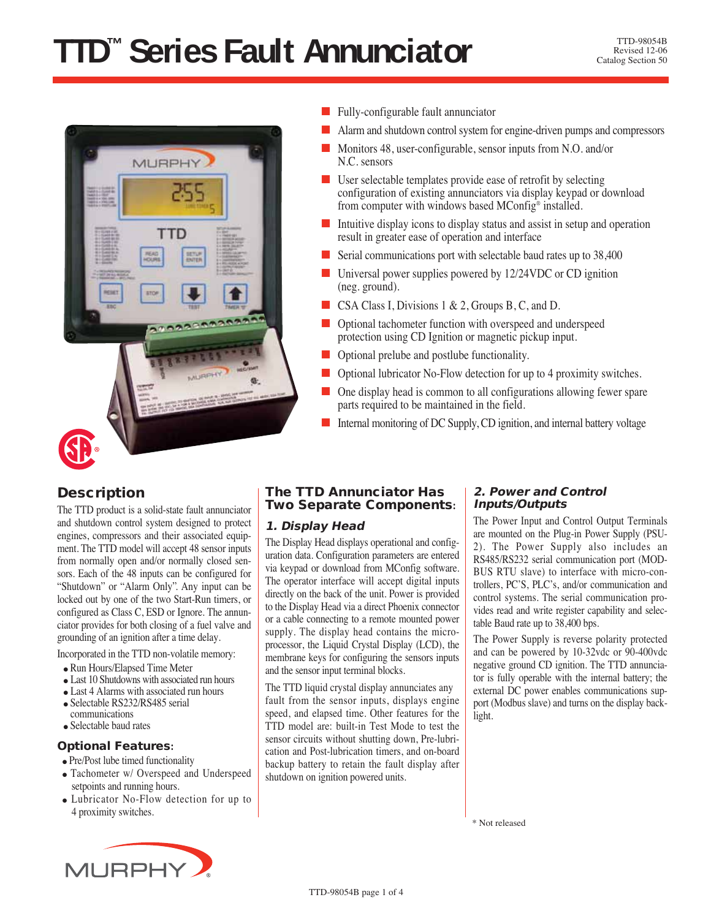# **TTD™ Series Fault Annunciator** TD-98054B



- Fully-configurable fault annunciator
- Alarm and shutdown control system for engine-driven pumps and compressors
- Monitors 48, user-configurable, sensor inputs from N.O. and/or N.C. sensors
- User selectable templates provide ease of retrofit by selecting configuration of existing annunciators via display keypad or download from computer with windows based MConfig® installed.
- Intuitive display icons to display status and assist in setup and operation result in greater ease of operation and interface
- Serial communications port with selectable baud rates up to 38,400
- Universal power supplies powered by 12/24VDC or CD ignition (neg. ground).
- CSA Class I, Divisions 1 & 2, Groups B, C, and D.
- Optional tachometer function with overspeed and underspeed protection using CD Ignition or magnetic pickup input.
- Optional prelube and postlube functionality.
- Optional lubricator No-Flow detection for up to 4 proximity switches.
- One display head is common to all configurations allowing fewer spare parts required to be maintained in the field.
- Internal monitoring of DC Supply, CD ignition, and internal battery voltage

## **Description**

The TTD product is a solid-state fault annunciator and shutdown control system designed to protect engines, compressors and their associated equipment. The TTD model will accept 48 sensor inputs from normally open and/or normally closed sensors. Each of the 48 inputs can be configured for "Shutdown" or "Alarm Only". Any input can be locked out by one of the two Start-Run timers, or configured as Class C, ESD or Ignore. The annunciator provides for both closing of a fuel valve and grounding of an ignition after a time delay.

Incorporated in the TTD non-volatile memory:

- Run Hours/Elapsed Time Meter
- Last 10 Shutdowns with associated run hours
- Last 4 Alarms with associated run hours
- Selectable RS232/RS485 serial
- communications
- Selectable baud rates

#### **Optional Features:**

• Pre/Post lube timed functionality

- Tachometer w/ Overspeed and Underspeed setpoints and running hours.
- Lubricator No-Flow detection for up to 4 proximity switches.



#### **The TTD Annunciator Has Two Separate Components:**

## **1. Display Head**

The Display Head displays operational and configuration data. Configuration parameters are entered via keypad or download from MConfig software. The operator interface will accept digital inputs directly on the back of the unit. Power is provided to the Display Head via a direct Phoenix connector or a cable connecting to a remote mounted power supply. The display head contains the microprocessor, the Liquid Crystal Display (LCD), the membrane keys for configuring the sensors inputs and the sensor input terminal blocks.

The TTD liquid crystal display annunciates any fault from the sensor inputs, displays engine speed, and elapsed time. Other features for the TTD model are: built-in Test Mode to test the sensor circuits without shutting down, Pre-lubrication and Post-lubrication timers, and on-board backup battery to retain the fault display after shutdown on ignition powered units.

#### **2. Power and Control Inputs/Outputs**

The Power Input and Control Output Terminals are mounted on the Plug-in Power Supply (PSU-2). The Power Supply also includes an RS485/RS232 serial communication port (MOD-BUS RTU slave) to interface with micro-controllers, PC'S, PLC's, and/or communication and control systems. The serial communication provides read and write register capability and selectable Baud rate up to 38,400 bps.

The Power Supply is reverse polarity protected and can be powered by 10-32vdc or 90-400vdc negative ground CD ignition. The TTD annunciator is fully operable with the internal battery; the external DC power enables communications support (Modbus slave) and turns on the display backlight.

\* Not released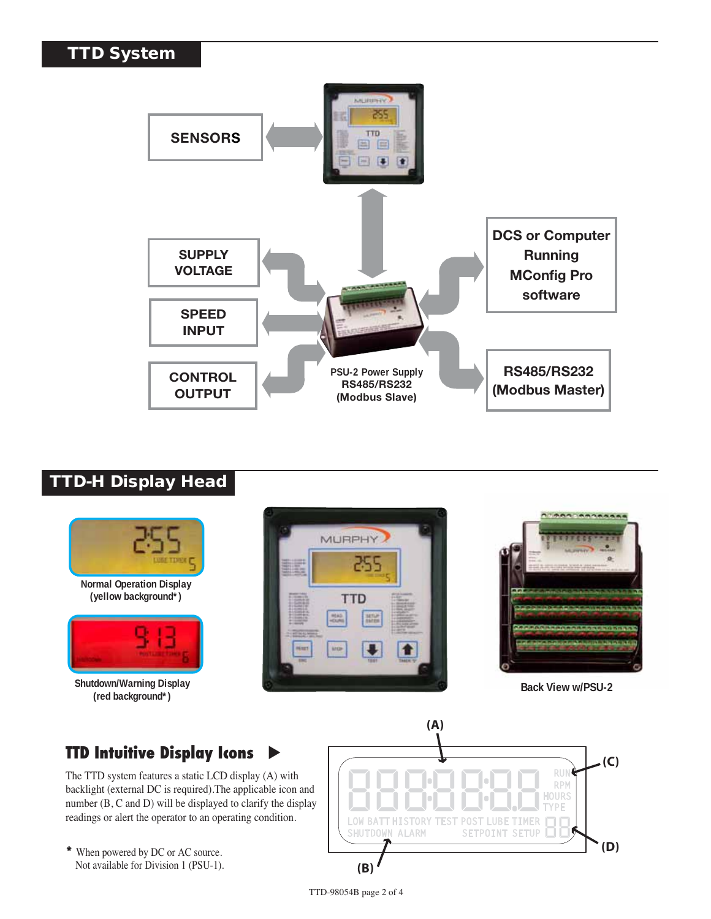## **TTD System**



## **TTD-H Display Head**



**\*** When powered by DC or AC source. Not available for Division 1 (PSU-1).

**(B)**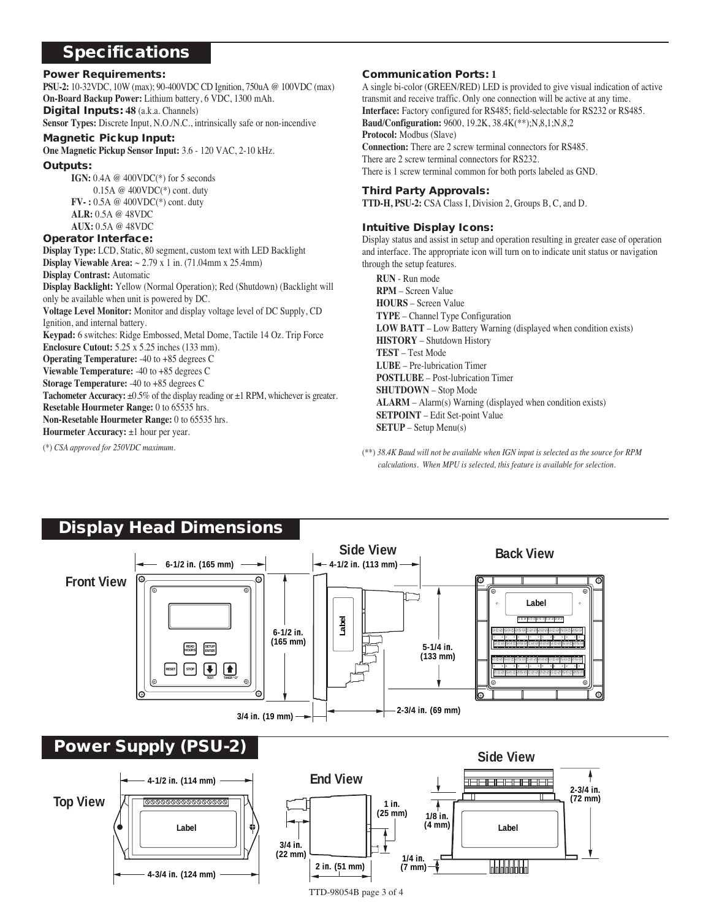## **Specifications**

#### **Power Requirements:**

**PSU-2:** 10-32VDC, 10W (max); 90-400VDC CD Ignition, 750uA @ 100VDC (max) **On-Board Backup Power:** Lithium battery, 6 VDC, 1300 mAh. **Digital Inputs: 48** (a.k.a. Channels) **Sensor Types:** Discrete Input, N.O./N.C., intrinsically safe or non-incendive

#### **Magnetic Pickup Input:**

**One Magnetic Pickup Sensor Input:** 3.6 - 120 VAC, 2-10 kHz.

#### **Outputs:**

**IGN:** 0.4A @ 400VDC(\*) for 5 seconds 0.15A @ 400VDC(\*) cont. duty **FV- :** 0.5A @ 400VDC(\*) cont. duty **ALR:** 0.5A @ 48VDC **AUX:** 0.5A @ 48VDC

#### **Operator Interface:**

**Display Type:** LCD, Static, 80 segment, custom text with LED Backlight **Display Viewable Area:** ~ 2.79 x 1 in. (71.04mm x 25.4mm) **Display Contrast:** Automatic

**Display Backlight:** Yellow (Normal Operation); Red (Shutdown) (Backlight will only be available when unit is powered by DC. **Voltage Level Monitor:** Monitor and display voltage level of DC Supply, CD

Ignition, and internal battery.

**Keypad:** 6 switches: Ridge Embossed, Metal Dome, Tactile 14 Oz. Trip Force **Enclosure Cutout:** 5.25 x 5.25 inches (133 mm).

**Operating Temperature:** -40 to +85 degrees C

**Viewable Temperature:** -40 to +85 degrees C

**Storage Temperature:** -40 to +85 degrees C

**Tachometer Accuracy:**  $\pm 0.5\%$  of the display reading or  $\pm 1$  RPM, whichever is greater. **Resetable Hourmeter Range:** 0 to 65535 hrs.

**Non-Resetable Hourmeter Range:** 0 to 65535 hrs.

**Hourmeter Accuracy:**  $\pm 1$  hour per year.

(\*) *CSA approved for 250VDC maximum.*

#### **Communication Ports: 1**

A single bi-color (GREEN/RED) LED is provided to give visual indication of active transmit and receive traffic. Only one connection will be active at any time. **Interface:** Factory configured for RS485; field-selectable for RS232 or RS485. **Baud/Configuration:** 9600, 19.2K, 38.4K(\*\*);N,8,1;N,8,2 **Protocol:** Modbus (Slave) **Connection:** There are 2 screw terminal connectors for RS485. There are 2 screw terminal connectors for RS232. There is 1 screw terminal common for both ports labeled as GND.

#### **Third Party Approvals:**

**TTD-H, PSU-2:** CSA Class I, Division 2, Groups B, C, and D.

#### **Intuitive Display Icons:**

Display status and assist in setup and operation resulting in greater ease of operation and interface. The appropriate icon will turn on to indicate unit status or navigation through the setup features.

- **RUN**  Run mode **RPM** – Screen Value **HOURS** – Screen Value **TYPE** – Channel Type Configuration **LOW BATT** – Low Battery Warning (displayed when condition exists) **HISTORY** – Shutdown History **TEST** – Test Mode **LUBE** – Pre-lubrication Timer **POSTLUBE** – Post-lubrication Timer **SHUTDOWN** – Stop Mode **ALARM** – Alarm(s) Warning (displayed when condition exists) **SETPOINT** – Edit Set-point Value **SETUP** – Setup Menu(s)
- (\*\*) *38.4K Baud will not be available when IGN input is selected as the source for RPM calculations. When MPU is selected, this feature is available for selection.*

# **Display Head Dimensions**